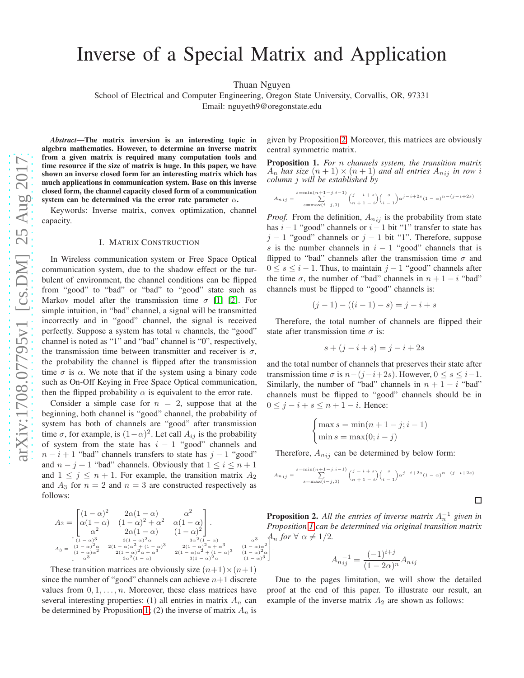# Inverse of a Special Matrix and Application

Thuan Nguyen

T L Ł I .

School of Electrical and Computer Engineering, Oregon State University, Corvallis, OR, 97331 Email: nguyeth9@oregonstate.edu

*Abstract*—The matrix inversion is an interesting topic in algebra mathematics. However, to determine an inverse matrix from a given matrix is required many computation tools and time resource if the size of matrix is huge. In this paper, we have shown an inverse closed form for an interesting matrix which has much applications in communication system. Base on this inverse closed form, the channel capacity closed form of a communication system can be determined via the error rate parameter  $\alpha$ .

Keywords: Inverse matrix, convex optimization, channel capacity.

#### I. MATRIX CONSTRUCTION

In Wireless communication system or Free Space Optical communication system, due to the shadow effect or the turbulent of environment, the channel conditions can be flipped from "good" to "bad" or "bad" to "good" state such as Markov model after the transmission time  $\sigma$  [\[1\]](#page-2-0) [\[2\]](#page-2-1). For simple intuition, in "bad" channel, a signal will be transmitted incorrectly and in "good" channel, the signal is received perfectly. Suppose a system has total  $n$  channels, the "good" channel is noted as "1" and "bad" channel is "0", respectively, the transmission time between transmitter and receiver is  $\sigma$ , the probability the channel is flipped after the transmission time  $\sigma$  is  $\alpha$ . We note that if the system using a binary code such as On-Off Keying in Free Space Optical communication, then the flipped probability  $\alpha$  is equivalent to the error rate.

Consider a simple case for  $n = 2$ , suppose that at the beginning, both channel is "good" channel, the probability of system has both of channels are "good" after transmission time  $\sigma$ , for example, is  $(1-\alpha)^2$ . Let call  $A_{ij}$  is the probability of system from the state has  $i - 1$  "good" channels and  $n - i + 1$  "bad" channels transfers to state has  $j - 1$  "good" and  $n - j + 1$  "bad" channels. Obviously that  $1 \leq i \leq n + 1$ and  $1 \leq j \leq n+1$ . For example, the transition matrix  $A_2$ and  $A_3$  for  $n = 2$  and  $n = 3$  are constructed respectively as follows:

$$
A_2 = \begin{bmatrix} (1 - \alpha)^2 & 2\alpha(1 - \alpha) & \alpha^2 \\ \alpha(1 - \alpha) & (1 - \alpha)^2 + \alpha^2 & \alpha(1 - \alpha) \\ \alpha^2 & 2\alpha(1 - \alpha) & (1 - \alpha)^2 \end{bmatrix}.
$$
  
\n
$$
A_3 = \begin{bmatrix} (1 - \alpha)^3 & 3(1 - \alpha)^2 \alpha & 3\alpha^2(1 - \alpha) \\ (1 - \alpha)^2 \alpha & 3(1 - \alpha)^2 \alpha + (1 - \alpha)^3 & 2(1 - \alpha)^2 \alpha + \alpha^3 & (1 - \alpha)^2 \alpha \\ (1 - \alpha)^2 \alpha & 2(1 - \alpha)^2 \alpha + \alpha^3 & 2(1 - \alpha)^2 + (1 - \alpha)^3 & (1 - \alpha)^2 \alpha \\ \alpha^3 & 3\alpha^2(1 - \alpha) & 3(1 - \alpha)^2 \alpha & (1 - \alpha)^3 \end{bmatrix}
$$

These transition matrices are obviously size  $(n+1) \times (n+1)$ since the number of "good" channels can achieve  $n+1$  discrete values from  $0, 1, \ldots, n$ . Moreover, these class matrices have several interesting properties: (1) all entries in matrix  $A_n$  can be determined by Proposition [1;](#page-0-0) (2) the inverse of matrix  $A_n$  is given by Proposition [2.](#page-0-1) Moreover, this matrices are obviously central symmetric matrix.

<span id="page-0-0"></span>Proposition 1. *For* n *channels system, the transition matrix*  $A_n$  *has size*  $(n+1) \times (n+1)$  *and all entries*  $A_{nij}$  *in row i column* j *will be established by*

$$
A_{n \, ij} = \sum_{s = \max(i-j,0)}^{\substack{s = \min(n+1-j,i-1) \\ \sum} \binom{j-i+s}{n+1-i}} \binom{s}{i-1} \alpha^{j-i+2s} (1-\alpha)^{n-(j-i+2s)}
$$

*Proof.* From the definition,  $A_{nij}$  is the probability from state has  $i-1$  "good" channels or  $i-1$  bit "1" transfer to state has  $j - 1$  "good" channels or  $j - 1$  bit "1". Therefore, suppose s is the number channels in  $i - 1$  "good" channels that is flipped to "bad" channels after the transmission time  $\sigma$  and  $0 \leq s \leq i-1$ . Thus, to maintain  $j-1$  "good" channels after the time  $\sigma$ , the number of "bad" channels in  $n + 1 - i$  "bad" channels must be flipped to "good" channels is:

$$
(j-1) - ((i-1) - s) = j - i + s
$$

Therefore, the total number of channels are flipped their state after transmission time  $\sigma$  is:

$$
s + (j - i + s) = j - i + 2s
$$

and the total number of channels that preserves their state after transmission time  $\sigma$  is  $n-(j-i+2s)$ . However,  $0 \le s \le i-1$ . Similarly, the number of "bad" channels in  $n + 1 - i$  "bad" channels must be flipped to "good" channels should be in  $0 \leq j - i + s \leq n + 1 - i$ . Hence:

$$
\begin{cases} \max s = \min(n+1-j; i-1) \\ \min s = \max(0; i-j) \end{cases}
$$

Therefore,  $A_{nij}$  can be determined by below form:

$$
A_{n i j} = \sum_{s = \max(i-j, 0)}^{\min(n+1-j, i-1)} {j - i + s \choose n+1 - i} {s \choose i-1} \alpha^{j-i+2s} (1 - \alpha)^{n - (j-i+2s)}
$$

 $\Box$ 

<span id="page-0-1"></span> $A_n$  *for*  $\forall \alpha \neq 1/2$ *.* **Proposition 2.** All the entries of inverse matrix  $A_n^{-1}$  given in *Proposition [1](#page-0-0) can be determined via original transition matrix*

$$
A_{nij}^{-1} = \frac{(-1)^{i+j}}{(1-2\alpha)^n} A_{nij}
$$

Due to the pages limitation, we will show the detailed proof at the end of this paper. To illustrate our result, an example of the inverse matrix  $A_2$  are shown as follows: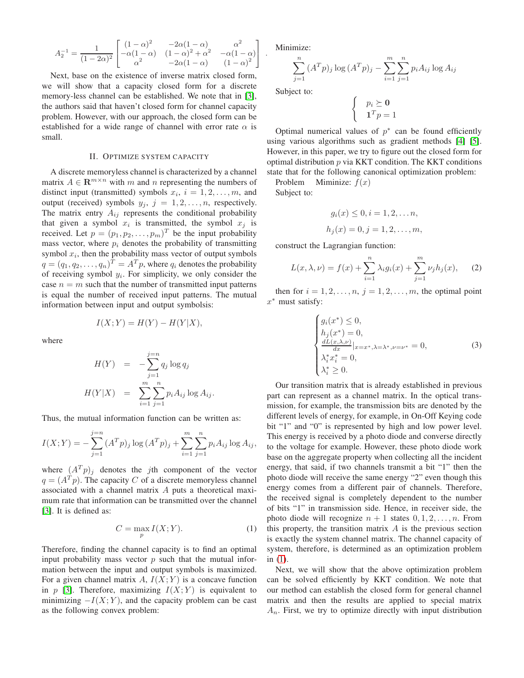$$
A_2^{-1} = \frac{1}{(1 - 2\alpha)^2} \begin{bmatrix} (1 - \alpha)^2 & -2\alpha(1 - \alpha) & \alpha^2 \\ -\alpha(1 - \alpha) & (1 - \alpha)^2 + \alpha^2 & -\alpha(1 - \alpha) \\ \alpha^2 & -2\alpha(1 - \alpha) & (1 - \alpha)^2 \end{bmatrix}.
$$

Next, base on the existence of inverse matrix closed form, we will show that a capacity closed form for a discrete memory-less channel can be established. We note that in [\[3\]](#page-2-2), the authors said that haven't closed form for channel capacity problem. However, with our approach, the closed form can be established for a wide range of channel with error rate  $\alpha$  is small.

## II. OPTIMIZE SYSTEM CAPACITY

A discrete memoryless channel is characterized by a channel matrix  $A \in \mathbb{R}^{m \times n}$  with m and n representing the numbers of distinct input (transmitted) symbols  $x_i$ ,  $i = 1, 2, \ldots, m$ , and output (received) symbols  $y_j$ ,  $j = 1, 2, ..., n$ , respectively. The matrix entry  $A_{ij}$  represents the conditional probability that given a symbol  $x_i$  is transmitted, the symbol  $x_j$  is received. Let  $p = (p_1, p_2, \dots, p_m)^T$  be the input probability mass vector, where  $p_i$  denotes the probability of transmitting symbol  $x_i$ , then the probability mass vector of output symbols  $q = (q_1, q_2, \dots, q_n)^T = A^T p$ , where  $q_i$  denotes the probability of receiving symbol  $y_i$ . For simplicity, we only consider the case  $n = m$  such that the number of transmitted input patterns is equal the number of received input patterns. The mutual information between input and output symbolsis:

$$
I(X;Y) = H(Y) - H(Y|X),
$$

where

$$
H(Y) = -\sum_{j=1}^{j=n} q_j \log q_j
$$
  

$$
H(Y|X) = \sum_{i=1}^{m} \sum_{j=1}^{n} p_i A_{ij} \log A_{ij}.
$$

Thus, the mutual information function can be written as:

$$
I(X;Y) = -\sum_{j=1}^{j=n} (A^T p)_j \log (A^T p)_j + \sum_{i=1}^{m} \sum_{j=1}^{n} p_i A_{ij} \log A_{ij},
$$

where  $(A^T p)_j$  denotes the jth component of the vector  $q = (A^T p)$ . The capacity C of a discrete memoryless channel associated with a channel matrix A puts a theoretical maximum rate that information can be transmitted over the channel [\[3\]](#page-2-2). It is defined as:

<span id="page-1-0"></span>
$$
C = \max_{p} I(X;Y). \tag{1}
$$

Therefore, finding the channel capacity is to find an optimal input probability mass vector  $p$  such that the mutual information between the input and output symbols is maximized. For a given channel matrix A,  $I(X;Y)$  is a concave function in p [\[3\]](#page-2-2). Therefore, maximizing  $I(X; Y)$  is equivalent to minimizing  $-I(X; Y)$ , and the capacity problem can be cast as the following convex problem:

Minimize:

$$
\sum_{j=1}^{n} (A^{T} p)_{j} \log (A^{T} p)_{j} - \sum_{i=1}^{m} \sum_{j=1}^{n} p_{i} A_{ij} \log A_{ij}
$$

Subject to:

$$
\begin{cases} p_i \succeq \mathbf{0} \\ \mathbf{1}^T p = 1 \end{cases}
$$

Optimal numerical values of  $p^*$  can be found efficiently using various algorithms such as gradient methods [\[4\]](#page-2-3) [\[5\]](#page-2-4). However, in this paper, we try to figure out the closed form for optimal distribution  $p$  via KKT condition. The KKT conditions state that for the following canonical optimization problem:

Problem Miminize:  $f(x)$ 

Subject to:

$$
g_i(x) \le 0, i = 1, 2, ..., n,
$$
  
 $h_j(x) = 0, j = 1, 2, ..., m,$ 

construct the Lagrangian function:

<span id="page-1-1"></span>
$$
L(x, \lambda, \nu) = f(x) + \sum_{i=1}^{n} \lambda_i g_i(x) + \sum_{j=1}^{m} \nu_j h_j(x), \quad (2)
$$

then for  $i = 1, 2, \ldots, n$ ,  $j = 1, 2, \ldots, m$ , the optimal point  $x^*$  must satisfy:

$$
\begin{cases}\ng_i(x^*) \le 0, \\
h_j(x^*) = 0, \\
\frac{dL(x,\lambda,\nu)}{dx^*} |_{x=x^*,\lambda=\lambda^*,\nu=\nu^*} = 0, \\
\lambda_i^* x_i^* = 0, \\
\lambda_i^* \ge 0.\n\end{cases} \tag{3}
$$

Our transition matrix that is already established in previous part can represent as a channel matrix. In the optical transmission, for example, the transmission bits are denoted by the different levels of energy, for example, in On-Off Keying code bit "1" and "0" is represented by high and low power level. This energy is received by a photo diode and converse directly to the voltage for example. However, these photo diode work base on the aggregate property when collecting all the incident energy, that said, if two channels transmit a bit "1" then the photo diode will receive the same energy "2" even though this energy comes from a different pair of channels. Therefore, the received signal is completely dependent to the number of bits "1" in transmission side. Hence, in receiver side, the photo diode will recognize  $n + 1$  states  $0, 1, 2, \ldots, n$ . From this property, the transition matrix  $A$  is the previous section is exactly the system channel matrix. The channel capacity of system, therefore, is determined as an optimization problem in  $(1)$ .

Next, we will show that the above optimization problem can be solved efficiently by KKT condition. We note that our method can establish the closed form for general channel matrix and then the results are applied to special matrix  $A_n$ . First, we try to optimize directly with input distribution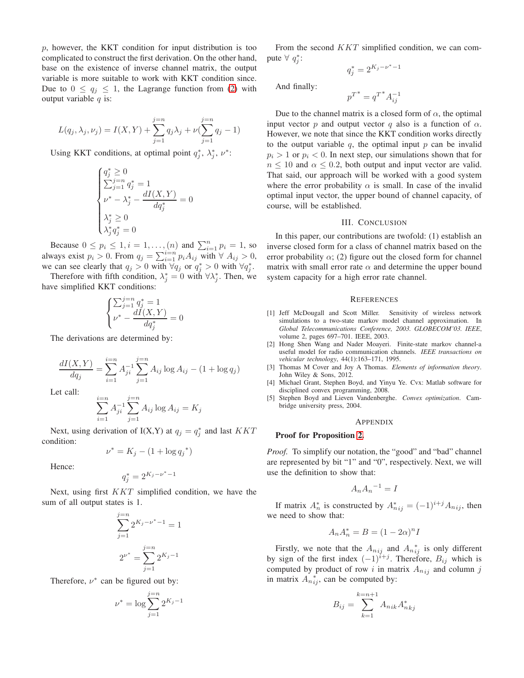p, however, the KKT condition for input distribution is too complicated to construct the first derivation. On the other hand, base on the existence of inverse channel matrix, the output variable is more suitable to work with KKT condition since. Due to  $0 \le q_i \le 1$ , the Lagrange function from [\(2\)](#page-1-1) with output variable  $q$  is:

$$
L(q_j, \lambda_j, \nu_j) = I(X, Y) + \sum_{j=1}^{j=n} q_j \lambda_j + \nu (\sum_{j=1}^{j=n} q_j - 1)
$$

Using KKT conditions, at optimal point  $q_j^*$ ,  $\lambda_j^*$ ,  $\nu^*$ :

$$
\begin{cases} q_j^* \geq 0 \\ \sum_{j=1}^{j=n} q_j^* = 1 \\ \nu^* - \lambda_j^* - \frac{dI(X, Y)}{dq_j^*} = 0 \\ \lambda_j^* \geq 0 \\ \lambda_j^* q_j^* = 0 \end{cases}
$$

Because  $0 \le p_i \le 1, i = 1, ..., (n)$  and  $\sum_{i=1}^{n} p_i = 1$ , so always exist  $p_i > 0$ . From  $q_j = \sum_{i=1}^{i=n} p_i A_{ij}$  with  $\forall A_{ij} > 0$ ,<br>we see algority that  $\alpha > 0$  with  $\forall \alpha$  or  $\alpha^* > 0$  with  $\forall \alpha^*$ we can see clearly that  $q_j > 0$  with  $\forall q_j$  or  $q_j^* > 0$  with  $\forall q_j^*$ .

Therefore with fifth condition,  $\lambda_j^* = 0$  with  $\forall \lambda_j^*$ . Then, we have simplified KKT conditions:

$$
\begin{cases} \sum_{j=1}^{j=n} q_j^* = 1\\ \nu^* - \dfrac{dI(X,Y)}{dq_j^*} = 0 \end{cases}
$$

The derivations are determined by:

$$
\frac{dI(X,Y)}{dq_j} = \sum_{i=1}^{i=n} A_{ji}^{-1} \sum_{j=1}^{j=n} A_{ij} \log A_{ij} - (1 + \log q_j)
$$

Let call:

$$
\sum_{i=1}^{i=n} A_{ji}^{-1} \sum_{j=1}^{j=n} A_{ij} \log A_{ij} = K_j
$$

Next, using derivation of I(X,Y) at  $q_j = q_j^*$  and last  $KKT$ condition:

$$
\nu^* = K_j - (1 + \log q_j^*)
$$

Hence:

$$
q_j^* = 2^{K_j - \nu^* - 1}
$$

Next, using first  $KKT$  simplified condition, we have the sum of all output states is 1.

$$
\sum_{j=1}^{j=n} 2^{K_j - \nu^* - 1} = 1
$$

$$
2^{\nu^*} = \sum_{j=1}^{j=n} 2^{K_j - 1}
$$

Therefore,  $\nu^*$  can be figured out by:

$$
\nu^* = \log \sum_{j=1}^{j=n} 2^{K_j - 1}
$$

From the second KKT simplified condition, we can compute  $\forall q_j^*$ :

$$
q_j^* = 2^{K_j - \nu^* - 1}
$$

And finally:

$$
p^{T^*} = q^{T^*} A_{ij}^{-1}
$$

Due to the channel matrix is a closed form of  $\alpha$ , the optimal input vector p and output vector q also is a function of  $\alpha$ . However, we note that since the KKT condition works directly to the output variable q, the optimal input  $p$  can be invalid  $p_i > 1$  or  $p_i < 0$ . In next step, our simulations shown that for  $n \leq 10$  and  $\alpha \leq 0.2$ , both output and input vector are valid. That said, our approach will be worked with a good system where the error probability  $\alpha$  is small. In case of the invalid optimal input vector, the upper bound of channel capacity, of course, will be established.

#### III. CONCLUSION

In this paper, our contributions are twofold: (1) establish an inverse closed form for a class of channel matrix based on the error probability  $\alpha$ ; (2) figure out the closed form for channel matrix with small error rate  $\alpha$  and determine the upper bound system capacity for a high error rate channel.

#### **REFERENCES**

- <span id="page-2-0"></span>[1] Jeff McDougall and Scott Miller. Sensitivity of wireless network simulations to a two-state markov model channel approximation. In *Global Telecommunications Conference, 2003. GLOBECOM'03. IEEE*, volume 2, pages 697–701. IEEE, 2003.
- <span id="page-2-1"></span>[2] Hong Shen Wang and Nader Moayeri. Finite-state markov channel-a useful model for radio communication channels. *IEEE transactions on vehicular technology*, 44(1):163–171, 1995.
- <span id="page-2-2"></span>[3] Thomas M Cover and Joy A Thomas. *Elements of information theory*. John Wiley & Sons, 2012.
- <span id="page-2-3"></span>[4] Michael Grant, Stephen Boyd, and Yinyu Ye. Cvx: Matlab software for disciplined convex programming, 2008.
- <span id="page-2-4"></span>[5] Stephen Boyd and Lieven Vandenberghe. *Convex optimization*. Cambridge university press, 2004.

#### **APPENDIX**

### Proof for Proposition [2.](#page-0-1)

*Proof.* To simplify our notation, the "good" and "bad" channel are represented by bit "1" and "0", respectively. Next, we will use the definition to show that:

$$
A_n A_n{}^{-1} = I
$$

If matrix  $A_n^*$  is constructed by  $A_{nij}^* = (-1)^{i+j} A_{nij}$ , then we need to show that:

$$
A_n A_n^* = B = (1 - 2\alpha)^n I
$$

Firstly, we note that the  $A_{nij}$  and  $A_{nij}^*$  is only different by sign of the first index  $(-1)^{i+j}$ . Therefore,  $B_{ij}$  which is computed by product of row i in matrix  $A_{nij}$  and column j in matrix  $\overrightarrow{A}_{n \, i j}^*$ , can be computed by:

$$
B_{ij} = \sum_{k=1}^{k=n+1} A_{nik} A_{nkj}^*
$$